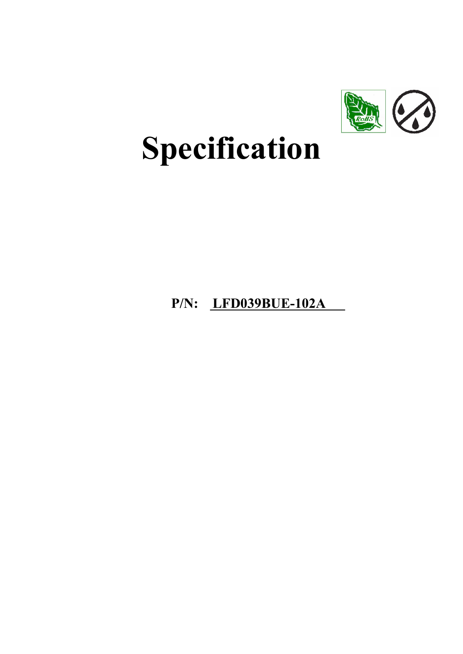

# Specification

# P/N: LFD039BUE-102A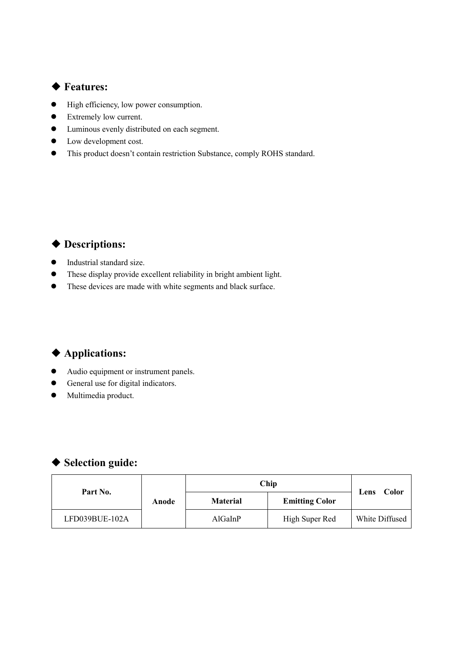## ◆ Features:

- High efficiency, low power consumption.
- Extremely low current.
- Luminous evenly distributed on each segment.
- Low development cost.
- This product doesn't contain restriction Substance, comply ROHS standard.

## ◆ Descriptions:

- $\bullet$  Industrial standard size.
- These display provide excellent reliability in bright ambient light.
- These devices are made with white segments and black surface.

## ◆ Applications:

- Audio equipment or instrument panels.
- General use for digital indicators.
- $\bullet$  Multimedia product.

## ◆ Selection guide:

| Part No.       |       |                 | Chip                  |                |
|----------------|-------|-----------------|-----------------------|----------------|
|                | Anode | <b>Material</b> | <b>Emitting Color</b> | Color<br>Lens  |
| LFD039BUE-102A |       | AlGaInP         | High Super Red        | White Diffused |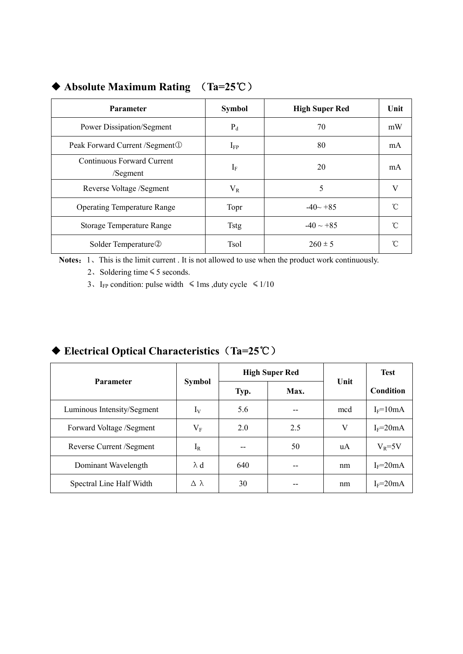| <b>Parameter</b>                       | <b>Symbol</b> | <b>High Super Red</b> | Unit |
|----------------------------------------|---------------|-----------------------|------|
| Power Dissipation/Segment              | $P_d$         | 70                    | mW   |
| Peak Forward Current / Segment ①       | $I_{FP}$      | 80                    | mA   |
| Continuous Forward Current<br>/Segment | $I_F$         | 20                    | mA   |
| Reverse Voltage /Segment               | $V_{R}$       | 5                     | V    |
| <b>Operating Temperature Range</b>     | Topr          | $-40 - +85$           | n    |
| Storage Temperature Range              | <b>Tstg</b>   | $-40 \sim +85$        | °C   |
| Solder Temperature <sup>2</sup>        | <b>Tsol</b>   | $260 \pm 5$           |      |

## ◆ Absolute Maximum Rating (Ta=25℃)

Notes: 1、This is the limit current . It is not allowed to use when the product work continuously.

2、Soldering time≤5 seconds.

3. I<sub>FP</sub> condition: pulse width  $\leq 1$ ms ,duty cycle  $\leq 1/10$ 

## High Super Red Parameter Symbol Typ. Max. Unit Test Condition Luminous Intensity/Segment  $I_V$  5.6  $I_{\text{F}}$  and I<sub>F</sub>=10mA Forward Voltage /Segment  $V_F$  2.0 2.5 V I<sub>F</sub>=20mA Reverse Current /Segment  $I_R$   $I_R$  --  $\vert$  50  $\vert$  uA  $\vert$  V<sub>R</sub>=5V Dominant Wavelength  $\lambda d$  640 -- nm IF=20mA Spectral Line Half Width  $\Delta \lambda$  30 -- nm IF=20mA

## ◆ Electrical Optical Characteristics (Ta=25℃)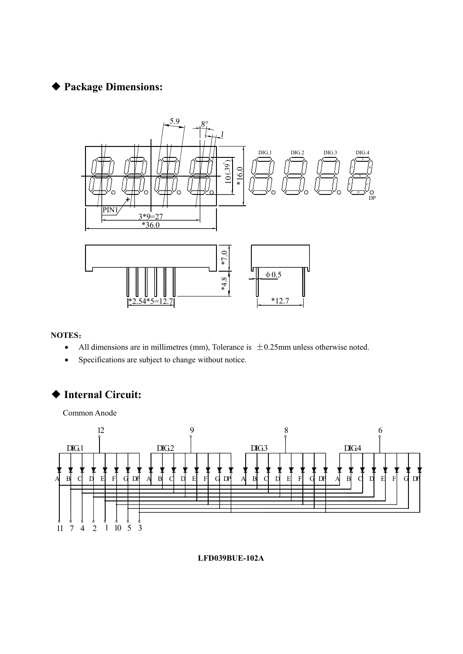## ◆ Package Dimensions:



#### NOTES:

- All dimensions are in millimetres (mm), Tolerance is  $\pm 0.25$ mm unless otherwise noted.
- Specifications are subject to change without notice.

## ◆ Internal Circuit:

Common Anode



LFD039BUE-102A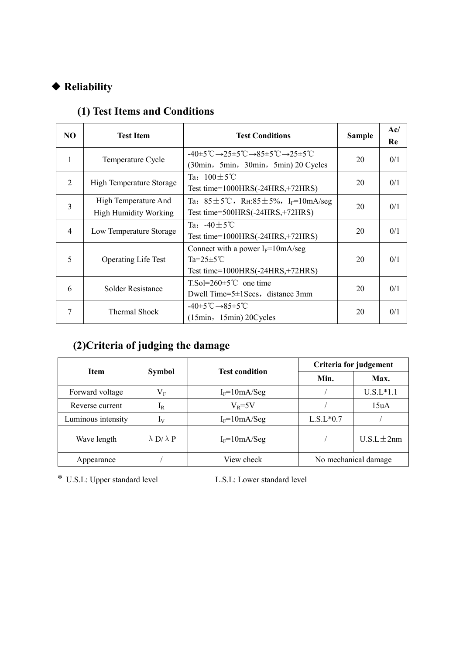## ◆ Reliability

| NO.            | <b>Test Item</b>                                     | <b>Test Conditions</b>                                                                                                                         | <b>Sample</b> | Ac/<br>Re |
|----------------|------------------------------------------------------|------------------------------------------------------------------------------------------------------------------------------------------------|---------------|-----------|
| 1              | Temperature Cycle                                    | $-40\pm5\degree C \rightarrow 25\pm5\degree C \rightarrow 85\pm5\degree C \rightarrow 25\pm5\degree C$<br>(30min, 5min, 30min, 5min) 20 Cycles | 20            | 0/1       |
| $\overline{2}$ | High Temperature Storage                             | Ta: $100 \pm 5^{\circ}$ C<br>Test time= $1000HRS(-24HRS,+72HRS)$                                                                               | 20            | 0/1       |
| $\overline{3}$ | High Temperature And<br><b>High Humidity Working</b> | Ta: $85 \pm 5^{\circ}$ C, RH: $85 \pm 5\%$ , I <sub>F</sub> =10mA/seg<br>Test time= $500HRS(-24HRS,+72HRS)$                                    | 20            | 0/1       |
| 4              | Low Temperature Storage                              | Ta: $-40 \pm 5^{\circ}$ C<br>Test time= $1000HRS(-24HRS,+72HRS)$                                                                               | 20            | 0/1       |
| 5              | <b>Operating Life Test</b>                           | Connect with a power $I_F = 10 \text{mA/sec}$<br>Ta= $25 \pm 5$ °C<br>Test time= $1000HRS(-24HRS,+72HRS)$                                      | 20            | 0/1       |
| 6              | Solder Resistance                                    | $T.S$ ol=260 $\pm$ 5 <sup>°</sup> C one time<br>Dwell Time= $5\pm 1$ Secs, distance 3mm                                                        | 20            | 0/1       |
| 7              | Thermal Shock                                        | $-40\pm5\degree\text{C}\rightarrow85\pm5\degree\text{C}$<br>$(15min, 15min)$ 20 Cycles                                                         | 20            | 0/1       |

# (1) Test Items and Conditions

# (2)Criteria of judging the damage

| <b>Item</b>        |                          | <b>Test condition</b> | Criteria for judgement |                      |
|--------------------|--------------------------|-----------------------|------------------------|----------------------|
|                    | <b>Symbol</b>            |                       | Min.                   | Max.                 |
| Forward voltage    | $\rm V_F$                | $I_F = 10mA/Seg$      |                        | $U.S.L*1.1$          |
| Reverse current    | $I_{R}$                  | $V_R = 5V$            |                        | 15uA                 |
| Luminous intensity | $I_V$                    | $I_F = 10mA/Seg$      | $L.S.L*0.7$            |                      |
| Wave length        | $\lambda$ D/ $\lambda$ P | $I_F = 10mA/Seg$      |                        | $U.S.L \pm 2nm$      |
| Appearance         |                          | View check            |                        | No mechanical damage |

\* U.S.L: Upper standard level L.S.L: Lower standard level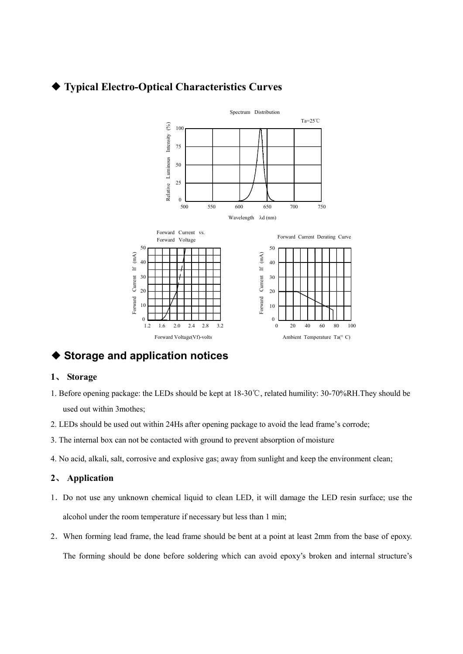## ◆ Typical Electro-Optical Characteristics Curves



Ambient Temperature Ta(° C)

20 40 60 80 100

◆ Storage and application notices

1.2

1.6

#### 1、 Storage

1. Before opening package: the LEDs should be kept at 18-30℃, related humility: 30-70%RH.They should be used out within 3mothes;

2.0 2.4 2.8 3.2 0

- 2. LEDs should be used out within 24Hs after opening package to avoid the lead frame's corrode;
- 3. The internal box can not be contacted with ground to prevent absorption of moisture

Forward Voltage(Vf)-volts

4. No acid, alkali, salt, corrosive and explosive gas; away from sunlight and keep the environment clean;

#### 2、 Application

- 1.Do not use any unknown chemical liquid to clean LED, it will damage the LED resin surface; use the alcohol under the room temperature if necessary but less than 1 min;
- 2.When forming lead frame, the lead frame should be bent at a point at least 2mm from the base of epoxy. The forming should be done before soldering which can avoid epoxy's broken and internal structure's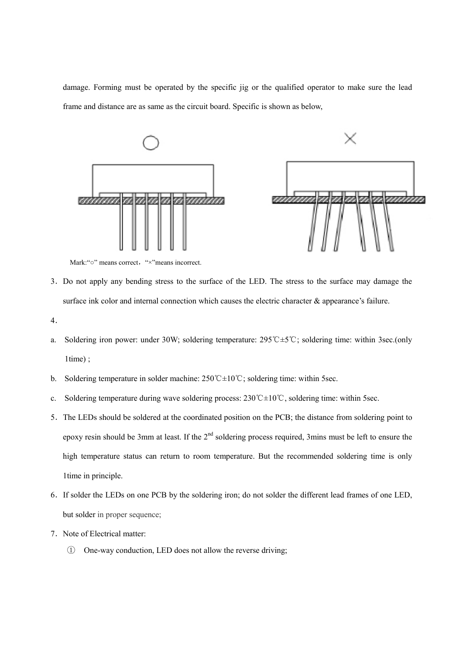damage. Forming must be operated by the specific jig or the qualified operator to make sure the lead frame and distance are as same as the circuit board. Specific is shown as below,



Mark: "o" means correct, "×"means incorrect.

- 3.Do not apply any bending stress to the surface of the LED. The stress to the surface may damage the surface ink color and internal connection which causes the electric character & appearance's failure.
- 4.
- a. Soldering iron power: under 30W; soldering temperature: 295℃±5℃; soldering time: within 3sec.(only 1time) ;
- b. Soldering temperature in solder machine: 250℃±10℃; soldering time: within 5sec.
- c. Soldering temperature during wave soldering process: 230℃±10℃, soldering time: within 5sec.
- 5.The LEDs should be soldered at the coordinated position on the PCB; the distance from soldering point to epoxy resin should be 3mm at least. If the  $2<sup>nd</sup>$  soldering process required, 3mins must be left to ensure the high temperature status can return to room temperature. But the recommended soldering time is only 1time in principle.
- 6.If solder the LEDs on one PCB by the soldering iron; do not solder the different lead frames of one LED, but solder in proper sequence;
- 7. Note of Electrical matter:
	- ① One-way conduction, LED does not allow the reverse driving;